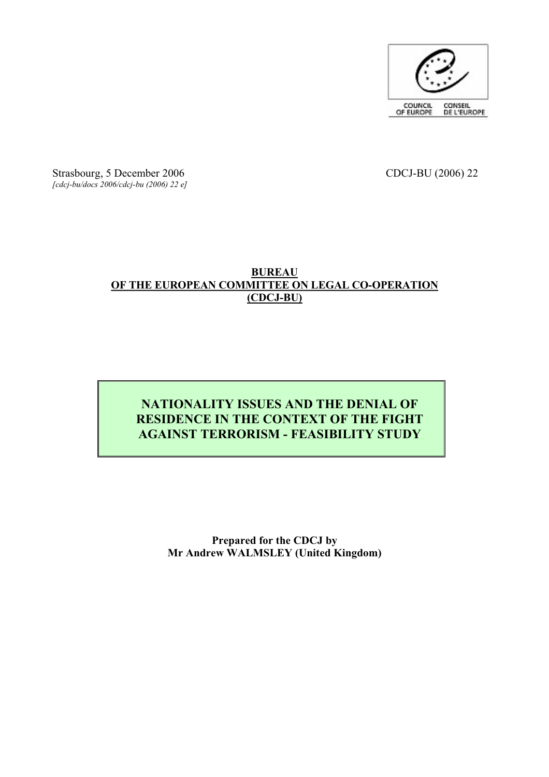

Strasbourg, 5 December 2006 CDCJ-BU (2006) 22 *[cdcj-bu/docs 2006/cdcj-bu (2006) 22 e]*

# **BUREAU OF THE EUROPEAN COMMITTEE ON LEGAL CO-OPERATION (CDCJ-BU)**

# **NATIONALITY ISSUES AND THE DENIAL OF RESIDENCE IN THE CONTEXT OF THE FIGHT AGAINST TERRORISM - FEASIBILITY STUDY**

**Prepared for the CDCJ by Mr Andrew WALMSLEY (United Kingdom)**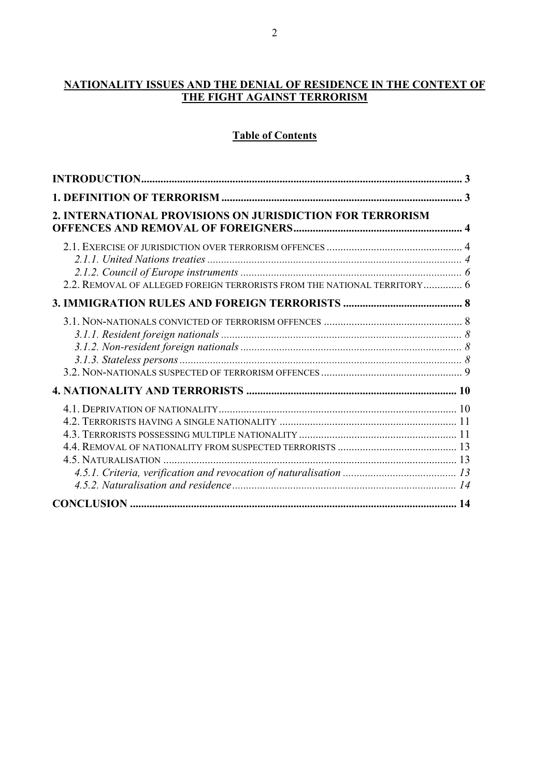# **NATIONALITY ISSUES AND THE DENIAL OF RESIDENCE IN THE CONTEXT OF THE FIGHT AGAINST TERRORISM**

# **Table of Contents**

| 2. INTERNATIONAL PROVISIONS ON JURISDICTION FOR TERRORISM                |  |
|--------------------------------------------------------------------------|--|
| 2.2. REMOVAL OF ALLEGED FOREIGN TERRORISTS FROM THE NATIONAL TERRITORY 6 |  |
|                                                                          |  |
|                                                                          |  |
|                                                                          |  |
|                                                                          |  |
|                                                                          |  |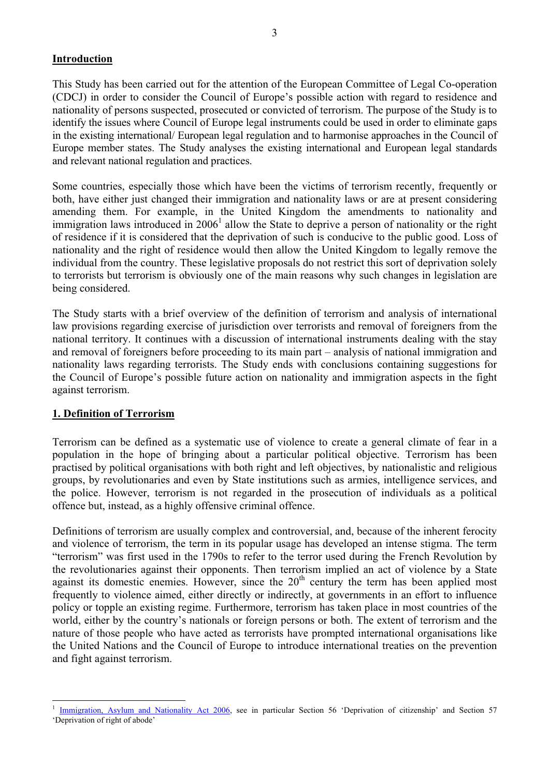#### **Introduction**

This Study has been carried out for the attention of the European Committee of Legal Co-operation (CDCJ) in order to consider the Council of Europe's possible action with regard to residence and nationality of persons susp identify the issues where Council of Europe legal instruments could be used in order to eliminate gaps in the existing international/ European legal regulation and to harmonise approaches in the Council of Europe member states. The Study analyses the existing international and European legal standards and relevant national regulation and practices.

Some countries, especially those which have been the victims of terrorism recently, frequently or both, have either just changed their immigration and nationality laws or are at present considering amending them. For examp of residence if it is considered that the deprivation of such is conducive to the public good. Loss of nationality and the right of residence would then allow the United Kingdom to legally remove the individual from the country. These legislative proposals do not restrict this sort of deprivation solely to terrorists but terrorism is obviously one of the main reasons why such changes in legislation are being considered.

The Study starts with a brief overview of the definition of terrorism and analysis of international law provisions regarding exercise of jurisdiction over terrorists and removal of foreigners from the national territory. It continues with a discussion of international instruments dealing with the stay<br>and removal of foreigners before proceeding to its main part – analysis of national immigration and<br>nationality laws reg the Council of Europe's possible future action on nationality and immigration aspects in the fight against terrorism.

#### **1. Definition of Terrorism**

Terrorism can be defined as a systematic use of violence to create a general climate of fear in a population in the hope of bringing about a particular political objective. Terrorism has been practised by political organisations with both right and left objectives, by nationalistic and religious groups, by revolutionaries and even by State institutions such as armies, intelligence services, and the police. However, terrorism is not regarded in the prosecution of individuals as a political offence but, instead, as a highly offensive criminal offence.

Definitions of terrorism are usually complex and controversial, and, because of the inherent ferocity and violence of terrorism, the term in its popular usage has developed an intense stigma. The term "terrorism" was first used in the 1790s to refer to the terror used during the French Revolution by the revolutionaries against their opponents. Then terrorism implied an act of violence by a State against its domestic enemies. However, since the  $20<sup>th</sup>$  century the term has been applied most frequently to violence aimed, either directly or indirectly, at governments in an effort to influence policy or topple an existing regime. Furthermore, terrorism has taken place in most countries of the world, either by the country's nationals or foreign persons or both. The extent of terrorism and the nature of those people who have acted as terrorists have prompted international organisations like the United Nations and and fight against terrorism.

<sup>1</sup> Immigration, Asylum and Nationality Act 2006, see in particular Section 56 'Deprivation of citizenship' and Section 57 'Deprivation of right of abode'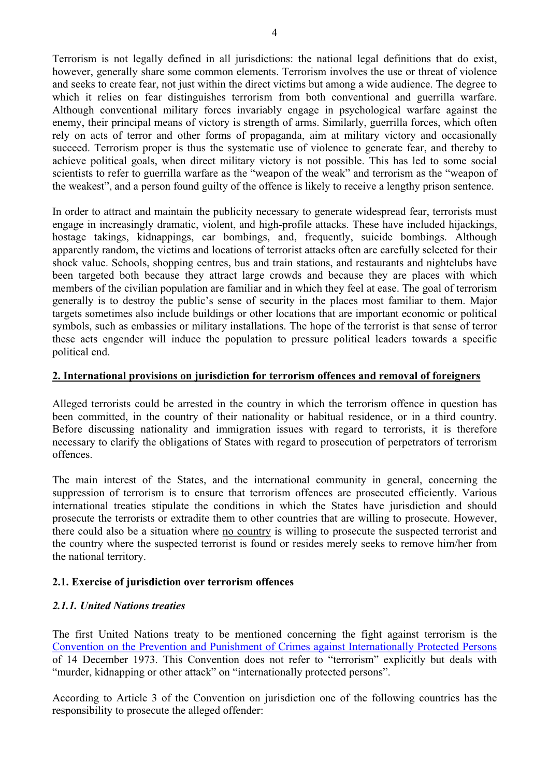Terrorism is not legally defined in all jurisdictions: the national legal definitions that do exist, however, generally share some common elements. Terrorism involves the use or threat of violence and seeks to create fear, which it relies on fear distinguishes terrorism from both conventional and guerrilla warfare. Although conventional military forces invariably engage in psychological warfare against the enemy, their principal means of victory is strength of arms. Similarly, guerrilla forces, which often rely on acts of terror and other forms of propaganda, aim at military victory and occasionally succeed. Terrorism proper is thus the systematic use of violence to generate fear, and thereby to achieve political goals, when direct military victory is not possible. This has led to some social scientists to refer to guerrilla warfare as the "weapon of the weak" and terrorism as the "weapon of the weakest", and a person found guilty of the offence is likely to receive a lengthy prison sentence.

In order to attract and maintain the publicity necessary to generate widespread fear, terrorists must engage in increasingly dramatic, violent, and high-profile attacks. These have included hijackings, hostage takings, kidnappings, car bombings, and, frequently, suicide bombings. Although apparently random, the victims and members of the civilian population are familiar and in which they feel at ease. The goal of terrorism generally is to destroy the public's sense of security in the places most familiar to them. Major targets sometimes also include buildings or other locations that are important economic or political symbols, such as embassies or military installations. The hope of the terrorist is that sense of terror these acts engender will induce the population to pressure political leaders towards a specific political end.

### **2. International provisions on jurisdiction for terrorism offences and removal of foreigners**

Alleged terrorists could be arrested in the country in which the terrorism offence in question has<br>been committed, in the country of their nationality or habitual residence, or in a third country.<br>Before discussing nationa necessary to clarify the obligations of States with regard to prosecution of perpetrators of terrorism offences.

The main interest of the States, and the international community in general, concerning the suppression of terrorism is to ensure that terrorism offences are prosecuted efficiently. Various international treaties stipulate the conditions in which the States have jurisdiction and should prosecute the terrorists or extradite them to other countries that are willing to prosecute. However, there could also be a situation where <u>no country</u> is willing to prosecute the suspected terrorist and the country where the suspected terrorist is found or resides merely seeks to remove him/her from the national territor

#### **2.1. Exercise of jurisdiction over terrorism offences**

#### *2.1.1. United Nations treaties*

The first United Nations treaty to be mentioned concerning the fight against terrorism is the Convention on the Prevention and Punishment of Crimes against Internationally Protected Persons of 14 December 1973. This Convention does not refer to "terrorism" explicitly but deals with "murder, kidnapping or other attack" on "internationally protected persons".

According to Article 3 of the Convention on jurisdiction one of the following countries has the responsibility to prosecute the alleged offender: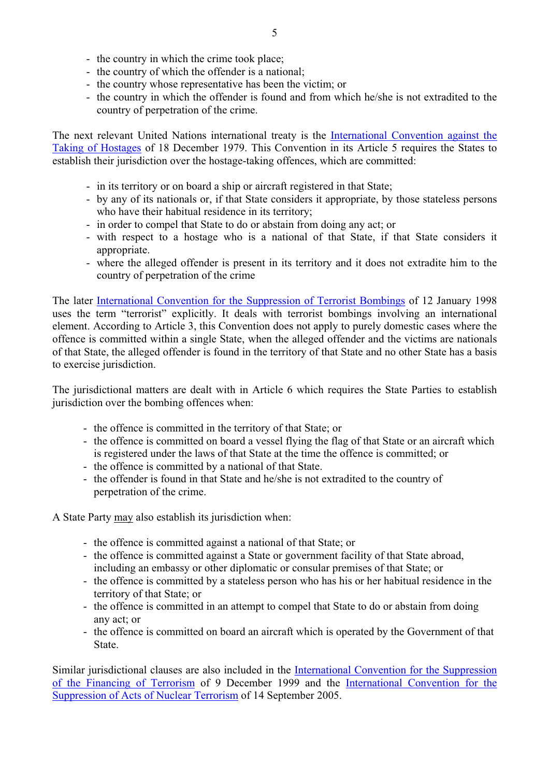- 
- 
- the country in which the crime took place;<br>
the country of which the offender is a national;<br>
the country whose representative has been the victim; or
- the country in which the offender is found and from which he/she is not extradited to the country of perpetration of the crime.

The next relevant United Nations international treaty is the International Convention against the Taking of Hostages of 18 December 1979. This Convention in its Article 5 requires the States to establish their jurisdiction over the hostage-taking offences, which are committed:

- 
- in its territory or on board a ship or aircraft registered in that State; by any of its nationals or, if that State considers it appropriate, by those stateless persons who have their habitual residence in its territory;<br>- in order to compel that State to do or abstain from doing any act; or
- 
- with respect to a hostage who is a national of that State, if that State considers it appropriate.<br>- where the alleged offender is present in its territory and it does not extradite him to the country of perpetration of
- 

The later International Convention for the Suppression of Terrorist Bombings of 12 January 1998 uses the term "terrorist" explicitly. It deals with terrorist bombings involving an international element. According to Article 3, this Convention does not apply to purely domestic cases where the offence is committed with of that State, the alleged offender is found in the territory of that State and no other State has a basis to exercise jurisdiction.

The jurisdictional matters are dealt with in Article 6 which requires the State Parties to establish jurisdiction over the bombing offences when:<br>- the offence is committed in the territory of that State; or

- 
- the offence is committed on board a vessel flying the flag of that State or an aircraft which is registered under the laws of that State at the time the offence is committed; or
- the offence is committed by a national of that State.
- the offender is found in that State and he/she is not extradited to the country of perpetration of the crime.

- A State Party may also establish its jurisdiction when:<br>- the offence is committed against a national of that State; or
	- the offence is committed against a State or government facility of that State abroad, including an embassy or other diplomatic or consular premises of that State; or
	- the offence is committed by a stateless person who has his or her habitual residence in the
	- territory of that State; or the offence is committed in an attempt to compel that State to do or abstain from doing any act; or
	- the offence is committed on board an aircraft which is operated by the Government of that State.

Similar jurisdictional clauses are also included in the <u>International Convention for the Suppression</u><br>of the Financing of Terrorism of 9 December 1999 and the <u>International Convention for the</u><br>Suppression of Acts of Nucl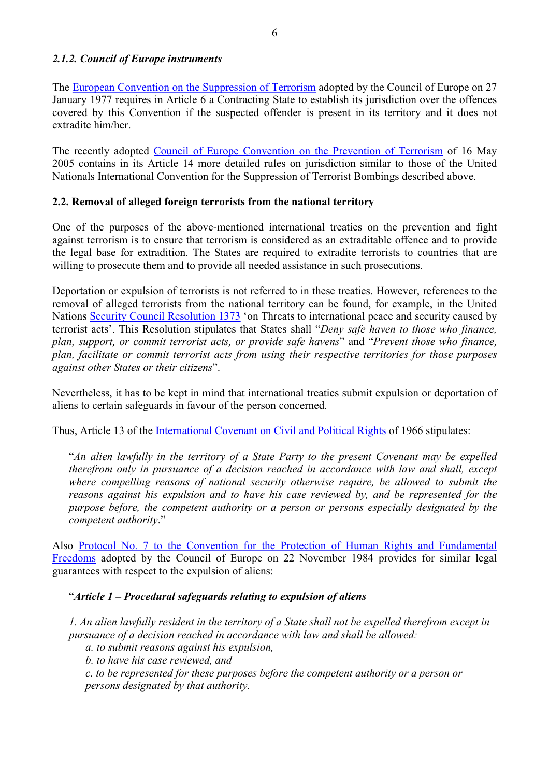## *2.1.2. Council of Europe instruments*

The European Convention on the Suppression of Terrorism adopted by the Council of Europe on 27 January 1977 requires in Article 6 a Contracting State to establish its jurisdiction over the offences covered by this Convention if the suspected offender is present in its territory and it does not extradite him/her

The recently adopted Council of Europe Convention on the Prevention of Terrorism</u> of 16 May 2005 contains in its Article 14 more detailed rules on jurisdiction similar to those of the United Nationals International Convent

### **2.2. Removal of alleged foreign terrorists from the national territory**

One of the purposes of the above-mentioned international treaties on the prevention and fight against terrorism is to ensure that terrorism is considered as an extraditable offence and to provide the legal base for extradition. The States are required to extradite terrorists to countries that are

willing to prosecute them and to provide all needed assistance in such prosecutions.<br>Deportation or expulsion of terrorists is not referred to in these treaties. However, references to the<br>removal of alleged terrorists fro *plan, support, or commit terrorist acts, or provide safe havens*" and "*Prevent those who finance, plan, facilitate or commit terrorist acts from using their respective territories for those purposes against other States or their citizens*".

Nevertheless, it has to be kept in mind that international treaties submit expulsion or deportation of aliens to certain safeguards in favour of the person concerned.

Thus, Article 13 of the International Covenant on Civil and Political Rights of 1966 stipulates:

"An alien lawfully in the territory of a State Party to the present Covenant may be expelled therefrom only in pursuance of a decision reached in accordance with law and shall, except where compelling reasons of national s

Also Protocol No. 7 to the Convention for the Protection of Human Rights and Fundamental Freedoms adopted by the Council of Europe on 22 November 1984 provides for similar legal guarantees with respect to the expulsion of aliens:<br>"*Article 1 – Procedural safeguards relating to expulsion of aliens* 

*1. An alien lawfully resident in the territory of a State shall not be expelled therefrom except in pursuance of a decision reached in accordance with law and shall be allowed:*

*a. to submit reasons against his expulsion,*<br>*b. to have his case reviewed, and*<br>*c. to be represented for these purposes before the competent authority or a person or persons designated by that authority.*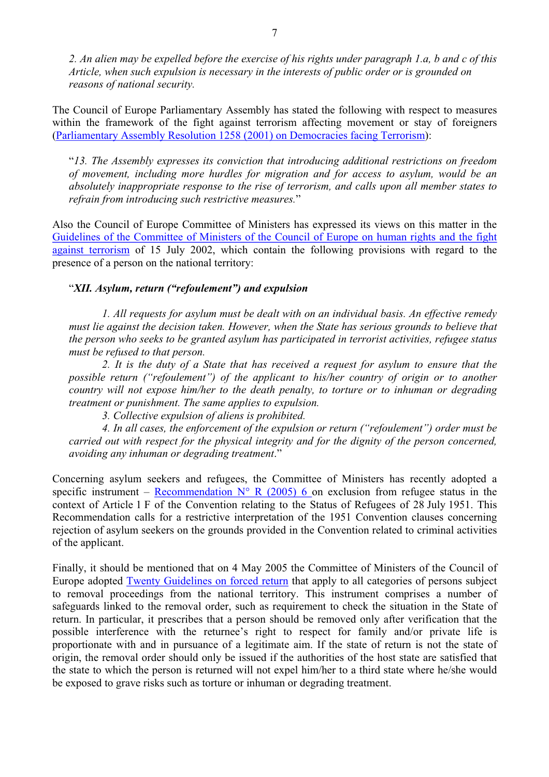2. An alien may be expelled before the exercise of his rights under paragraph 1.a, b and c of this Article, when such expulsion is necessary in the interests of public order or is grounded on reasons of national security.

The Council of Europe Parliamentary Assembly has stated the following with respect to measures within the framework of the fight against terrorism affecting movement or stay of foreigners (Parliamentary Assembly Resolution 1258 (2001) on Democracies facing Terrorism):

"*13. The Assembly expresses its conviction that introducing additional restrictions on freedom of movement, including more hurdles for migration and for access to asylum, would be an absolutely inappropriate response to the rise of terrorism, and calls upon all member states to refrain from introducing such restrictive measures.* "

Also the Council of Europe Committee of Ministers has expressed its views on this matter in the Guidelines of the Committee of Ministers of the Council of Europe on human rights and the fight against terrorism of 15 July 2002, which contain the following provisions with regard to the presence of a person on the national territory:

### "*XII. Asylum, return ("refoulement") and expulsion*

*1. All requests for asylum must be dealt with on an individual basis. An effective remedy must lie against the decision taken. However, when the State has serious grounds to believe that the person who seeks to be granted asylum has participated in terrorist activities, refugee status*

*must be refused to that person. 2. It is the duty of a State that has received a request for asylum to ensure that the possible return ("refoulement") of the applicant to his/her country of origin or to another country will not expose him/her to the death penalty, to torture or to inhuman or degrading*

treatment or punishment. The same applies to expulsion.<br>3. Collective expulsion of aliens is prohibited.<br>4. In all cases, the enforcement of the expulsion or return ("refoulement") order must be<br>carried out with respect fo

Concerning asylum seekers and refugees, the Committee of Ministers has recently adopted a specific instrument – Recommendation  $N^{\circ}$  R (2005) 6 on exclusion from refugee status in the context of Article 1 F of the Convention relating to the Status of Refugees of 28 July 1951. This Recommendation calls for a restrictive interpretation of the 1951 Convention clauses concerning rejection of asylum seekers on the grounds provided in the Convention related to criminal activities of the applicant.

Finally, it should be mentioned that on 4 May 2005 the Committee of Ministers of the Council of Europe adopted Twenty Guidelines on forced return that apply to all categories of persons subject to removal proceedings from possible interference with the returnee's right to respect for family and/or private life is<br>proportionate with and in pursuance of a legitimate aim. If the state of return is not the state of<br>origin, the removal order sho the state to which the person is returned will not expel him/her to a third state where he/she would be exposed to grave risks such as torture or inhuman or degrading treatment.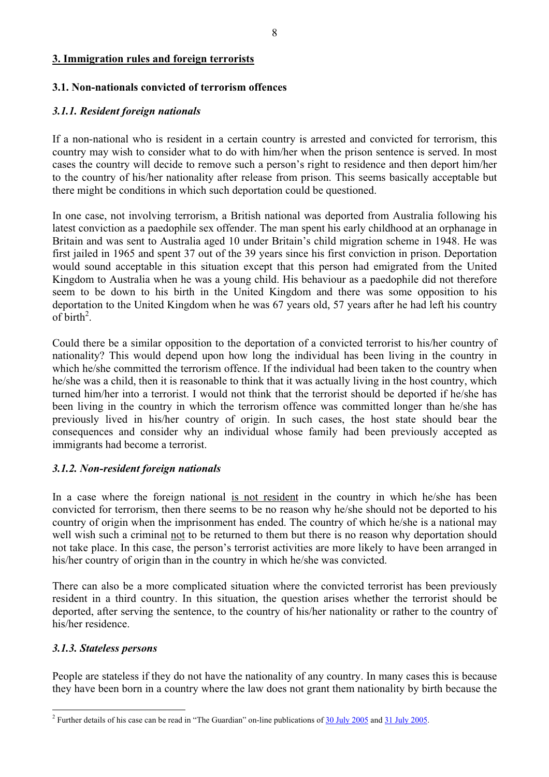#### **3. Immigration rules and foreign terrorists**

#### **3.1. Non-nationals convicted of terrorism offences**

#### *3.1.1. Resident foreign nationals*

If a non-national who is resident in a certain country is arrested and convicted for terrorism, this country may wish to consider what to do with him/her when the prison sentence is served. In most cases the country will decide to remove such a person's right to residence and then deport him/her to the country of his/her

In one case, not involving terrorism, a British national was deported from Australia following his latest conviction as a paedophile sex offender. The man spent his early childhood at an orphanage in Britain and was sent t seem to be down to his birth in the United Kingdom and there was some opposition to his deportation to the United Kingdom when he was 67 years old, 57 years after he had left his country of birth<sup>2</sup>.

Could there be a similar opposition to the deportation of a convicted terrorist to his/her country of nationality? This would depend upon how long the individual has been living in the country in which he/she committed the turned him/her into a terrorist. I would not think that the terrorist should be deported if he/she has<br>been living in the country in which the terrorism offence was committed longer than he/she has<br>previously lived in his/ consequences and consider why an individual whose family had been previously accepted as immigrants had become a terrorist.

#### *3.1.2. Non-resident foreign nationals*

In a case where the foreign national is not resident in the country in which he/she has been convicted for terrorism, then there seems to be no reason why he/she should not be deported to his country of origin when the imprisonment has ended. The country of which he/she is a national may well wish such a criminal not to be returned to them but there is no reason why deportation should not take place. In this case, the person's terrorist activities are more likely to have been arranged in his/her country of origin than in the country in which he/she was convicted.

There can also be a more complicated situation where the convicted terrorist has been previously resident in a third country. In this situation, the question arises whether the terrorist should be deported, after serving the sentence, to the country of his/her nationality or rather to the country of his/her residence.

#### *3.1.3. Stateless persons*

People are stateless if they do not have the nationality of any country. In many cases this is because they have been born in a country where the law does not grant them nationality by birth because the

<sup>&</sup>lt;sup>2</sup> Further details of his case can be read in "The Guardian" on-line publications of  $30$  July 2005 and  $31$  July 2005.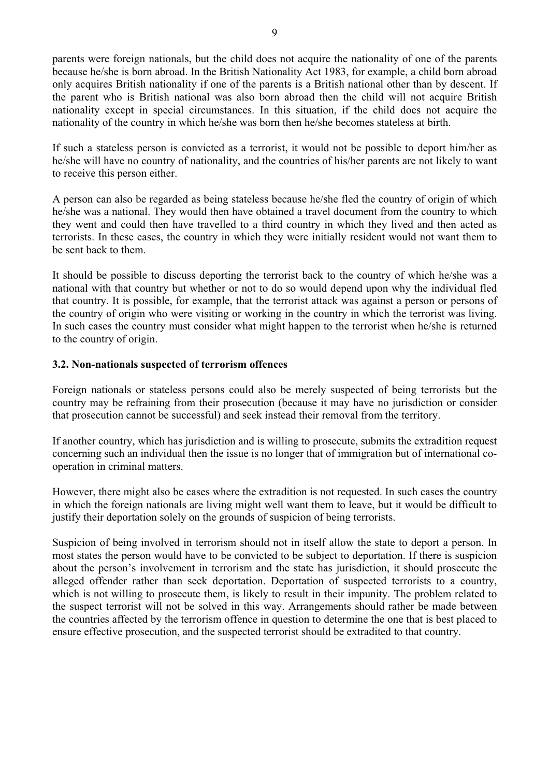parents were foreign nationals, but the child does not acquire the nationality of one of the parents because he/she is born abroad. In the British Nationality Act 1983, for example, a child born abroad only acquires British nationality if one of the parents is a British national other than by descent. If the parent who is British national was also born abroad then the child will not acquire British nationality except in special circumstances. In this situation, if the child does not acquire the

nationality of the country in which he/she was born then he/she becomes stateless at birth.<br>If such a stateless person is convicted as a terrorist, it would not be possible to deport him/her as he/she will have no country to receive this person either.

A person can also be regarded as being stateless because he/she fled the country of origin of which he/she was a national. They would then have obtained a travel document from the country to which they went and could then be sent back to them.

It should be possible to discuss deporting the terrorist back to the country of which he/she was a national with that country but whether or not to do so would depend upon why the individual fled that country. It is possib to the country of origin.

### **3.2. Non-nationals suspected of terrorism offences**

Foreign nationals or stateless persons could also be merely suspected of being terrorists but the country may be refraining from their prosecution (because it may have no jurisdiction or consider that prosecution cannot be successful) and seek instead their removal from the territory. If another country, which has jurisdiction and is willing to prosecute, submits the extradition request

concerning such an individual then the issue is no longer that of immigration but of international cooperation in criminal matters.<br>However, there might also be cases where the extradition is not requested. In such cases the country

in which the foreign nationals are living might well want them to leave, but it would be difficult to justify their deportation solely on the grounds of suspicion of being terrorists.

Suspicion of being involved in terrorism should not in itself allow the state to deport a person. In most states the person would have to be convicted to be subject to deportation. If there is suspicion<br>about the person's involvement in terrorism and the state has jurisdiction, it should prosecute the<br>alleged offender rat the countries affected by the terrorism offence in question to determine the one that is best placed to ensure effective prosecution, and the suspected terrorist should be extradited to that country.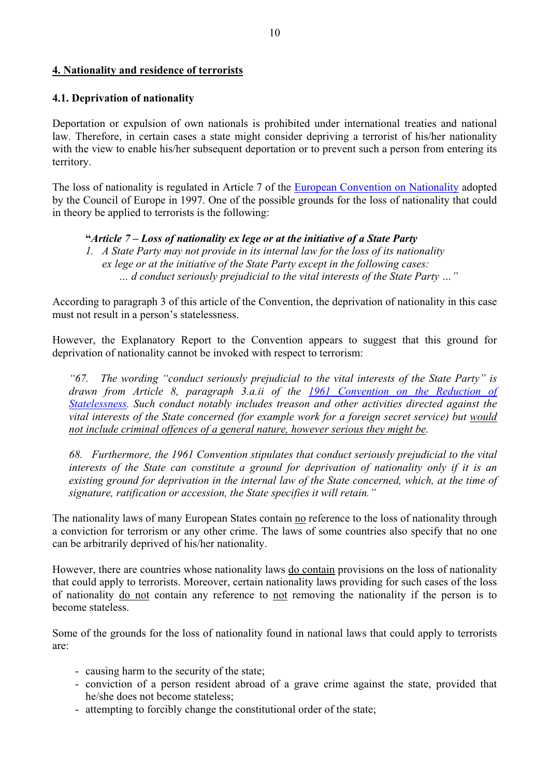### **4. Nationality and residence of terrorists**

#### **4.1. Deprivation of nationality**

Deportation or expulsion of own nationals is prohibited under international treaties and national law. Therefore, in certain cases a state might consider depriving a terrorist of his/her nationality with the view to enable his/her subsequent deportation or to prevent such a person from entering its territory.<br>The loss of nationality is regulated in Article 7 of the European Convention on Nationality adopted

by the Council of Europe in 1997. One of the possible grounds for the loss of nationality that could in theory be applied to terrorists is the following:

#### **"***Article 7 – Loss of nationality ex lege or at the initiative of a State Party*

*1. A State Party may not provide in its internal law for the loss of its nationality ex lege or at the initiative of the State Party except in the following cases: … d conduct seriously prejudicial to the vital interests of the State Party … "*

According to paragraph 3 of this article of the Convention, the deprivation of nationality in this case must not result in a person's statelessness.

However, the Explanatory Report to the Convention appears to suggest that this ground for deprivation of nationality cannot be invoked with respect to terrorism:

*"67. The wording "conduct seriously prejudicial to the vital interests of the State Party" is drawn from Article 8, paragraph 3.a.ii of the 1961 Convention on the Reduction of* **Statelessness**. Such conduct notably includes treason and other activities directed against the vital interests of the State concerned (for example work for a foreign secret service) but <u>would</u> not include criminal offen

68. Furthermore, the 1961 Convention stipulates that conduct seriously prejudicial to the vital<br>interests of the State can constitute a ground for deprivation of nationality only if it is an<br>existing ground for deprivation *signature, ratification or accession, the State specifies it will retain."*

The nationality laws of many European States contain no reference to the loss of nationality through a conviction for terrorism or any other crime. The laws of some countries also specify that no one can be arbitrarily deprived of his/her nationality. However, there are countries whose nationality laws do contain provisions on the loss of nationality

that could apply to terrorists. Moreover, certain nationality laws providing for such cases of the loss of nationality do not contain any reference to not removing the nationality if the person is to become stateless.

Some of the grounds for the loss of nationality found in national laws that could apply to terrorists are:

- causing harm to the security of the state;
- conviction of a person resident abroad of a grave crime against the state, provided that he/she does not become stateless;
- attempting to forcibly change the constitutional order of the state;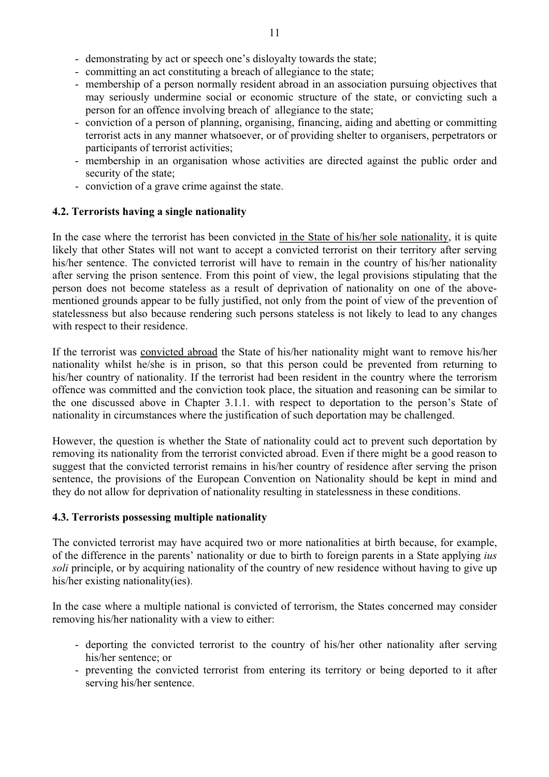- committing an act constituting a breach of allegiance to the state;
- membership of a person normally resident abroad in an association pursuing objectives that may seriously undermine social or economic structure of the state, or convicting such a person for an offence involving breach of allegiance to the state;
- conviction of a person of planning, organising, financing, aiding and abetting or committing terrorist acts in any manner whatsoever, or of providing shelter to organisers, perpetrators or participants of terrorist activ
- 
- conviction of a grave crime against the state.

# **4.2. Terrorists having a single nationality**

In the case where the terrorist has been convicted in the State of his/her sole nationality, it is quite likely that other States will not want to accept a convicted terrorist on their territory after serving his/her sentence. The convicted terrorist will have to remain in the country of his/her nationality after serving the prison sentence. From this point of view, the legal provisions stipulating that the person does not become stateless as a result of deprivation of nationality on one of the abovementioned grounds appear to be fully justified, not only from the point of view of the prevention of statelessness but also because rendering such persons stateless is not likely to lead to any changes with respect to their residence.

If the terrorist was convicted abroad the State of his/her nationality might want to remove his/her nationality whilst he/she is in prison, so that this person could be prevented from returning to his/her country of nationality. If the terrorist had been resident in the country where the terrorism offence was committed and the conviction took place, the situation and reasoning can be similar to the one discussed above in Chapter 3.1.1. with respect to deportation to the person's State of

nationality in circumstances where the justification of such deportation may be challenged.<br>However, the question is whether the State of nationality could act to prevent such deportation by removing its nationality from t suggest that the convicted terrorist remains in his/her country of residence after serving the prison sentence, the provisions of the European Convention on Nationality should be kept in mind and they do not allow for deprivation of nationality resulting in statelessness in these conditions.

#### **4.3. Terrorists possessing multiple nationality**

The convicted terrorist may have acquired two or more nationalities at birth because, for example, of the difference in the parents' nationality or due to birth to foreign parents in a State applying *ius soli* principle, or by acquiring nationality of the country of new residence without having to give up his/her exi

- removing his/her nationality with a view to either: deporting the convicted terrorist to the country of his/her other nationality after serving his/her sentence; or
	- preventing the convicted terrorist from entering its territory or being deported to it after serving his/her sentence.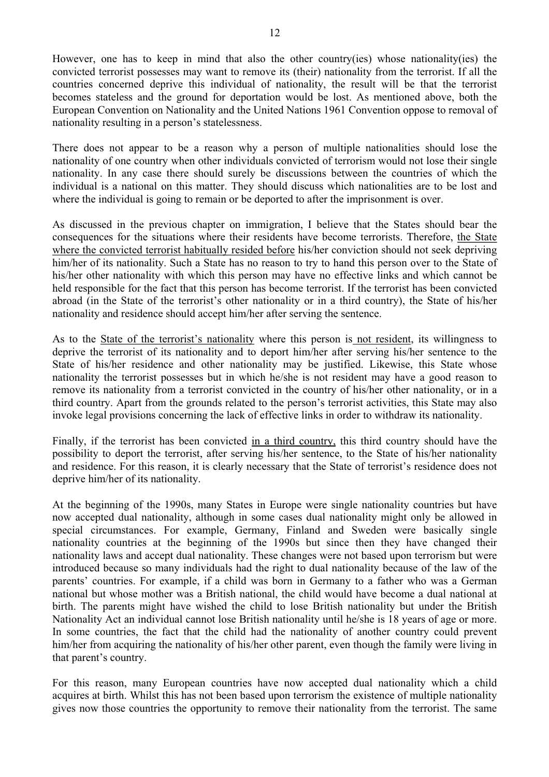However, one has to keep in mind that also the other country(ies) whose nationality(ies) the convicted terrorist possesses may want to remove its (their) nationality from the terrorist. If all the countries concerned depri nationality resulting in a person's statelessness.

There does not appear to be a reason why a person of multiple nationalities should lose the nationality of one country when other individuals convicted of terrorism would not lose their single nationality. In any case there should surely be discussions between the countries of which the individual is a national on this matter. They should discuss which nationalities are to be lost and where the individual is going to remain or be deported to after the imprisonment is over.

As discussed in the previous chapter on immigration, I believe that the States should bear the consequences for the situations where their residents have become terrorists. Therefore, the State where the convicted terrorist habitually resided before his/her conviction should not seek depriving<br>him/her of its nationality. Such a State has no reason to try to hand this person over to the State of<br>his/her other nati held responsible for the fact that this person has become terrorist. If the terrorist has been convicted abroad (in the State of the terrorist's other nationality or in a third country), the State of his/her nationality and residence should accept him/her after serving the sentence.

As to the State of the terrorist's nationality where this person is not resident, its willingness to deprive the terrorist of its nationality and to deport him/her after serving his/her sentence to the State of his/her residence and other nationality may be justified. Likewise, this State whose nationality the terrorist possesses but in which he/she is not resident may have a good reason to remove its nationality from a invoke legal provisions concerning the lack of effective links in order to withdraw its nationality.

Finally, if the terrorist has been convicted in a third country, this third country should have the possibility to deport the terrorist, after serving his/her sentence, to the State of his/her nationality and residence. For this reason, it is clearly necessary that the State of terrorist's residence does not<br>deprive him/her of its nationality.<br>At the beginning of the 1990s, many States in Europe were single nationality coun

special circumstances. For example, Germany, Finland and Sweden were basically single nationality countries at the beginning of the 1990s but since then they have changed their nationality laws and accept dual nationality. national but whose mother was a British national, the child would have become a dual national at birth. The parents might have wished the child to lose British nationality but under the British Nationality Act an individual cannot lose British nationality until he/she is 18 years of age or more.<br>In some countries, the fact that the child had the nationality of another country could prevent<br>him/her from acquiring that parent's country. For this reason, many European countries have now accepted dual nationality which a child

acquires at birth. Whilst this has not been based upon terrorism the existence of multiple nationality gives now those countries the opportunity to remove their nationality from the terrorist. The same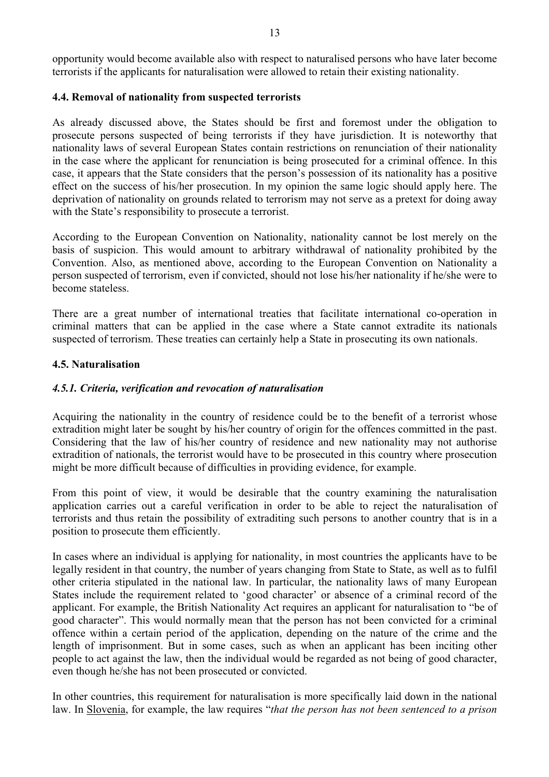opportunity would become available also with respect to naturalised persons who have later become terrorists if the applicants for naturalisation were allowed to retain their existing nationality.

#### **4.4. Removal of nationality from suspected terrorists**

As already discussed above, the States should be first and foremost under the obligation to prosecute persons suspected of being terrorists if they have jurisdiction. It is noteworthy that nationality laws of several European States contain restrictions on renunciation of their nationality in the case where the applicant for renunciation is being prosecuted for a criminal offence. In this case, it appears that the State considers that the person's possession of its nationality has a positive effect on the success of his/her prosecution. In my opinion the same logic should apply here. The deprivation of nati with the State's responsibility to prosecute a terrorist.

According to the European Convention on Nationality, nationality cannot be lost merely on the basis of suspicion. This would amount to arbitrary withdrawal of nationality prohibited by the Convention. Also, as mentioned ab person suspected of terrorism, even if convicted, should not lose his/her nationality if he/she were to become stateless.

There are a great number of international treaties that facilitate international co-operation in criminal matters that can be applied in the case where a State cannot extradite its nationals suspected of terrorism. These treaties can certainly help a State in prosecuting its own nationals.

#### **4.5. Naturalisation**

#### *4.5.1. Criteria, verification and revocation of naturalisation*

Acquiring the nationality in the country of residence could be to the benefit of a terrorist whose extradition might later be sought by his/her country of origin for the offences committed in the past. Considering that the law of his/her country of residence and new nationality may not authorise<br>extradition of nationals, the terrorist would have to be prosecuted in this country where prosecution<br>might be more difficult b

terrorists and thus retain the possibility of extraditing such persons to another country that is in a position to prosecute them efficiently.

In cases where an individual is applying for nationality, in most countries the applicants have to be legally resident in that country, the number of years changing from State to State, as well as to fulfil other criteria stipulated in the national law. In particular, the nationality laws of many European States include the requirement related to 'good character' or absence of a criminal record of the applicant. For example, the British Nationality Act requires an applicant for naturalisation to "be of good character". This offence within a certain period of the application, depending on the nature of the crime and the length of imprisonment. But in some cases, such as when an applicant has been inciting other people to act against the law, then the individual would be regarded as not being of good character, even though he/she has not been prosecuted or convicted.

In other countries, this requirement for naturalisation is more specifically laid down in the national law. In Slovenia, for example, the law requires "*that the person has not been sentenced to a prison*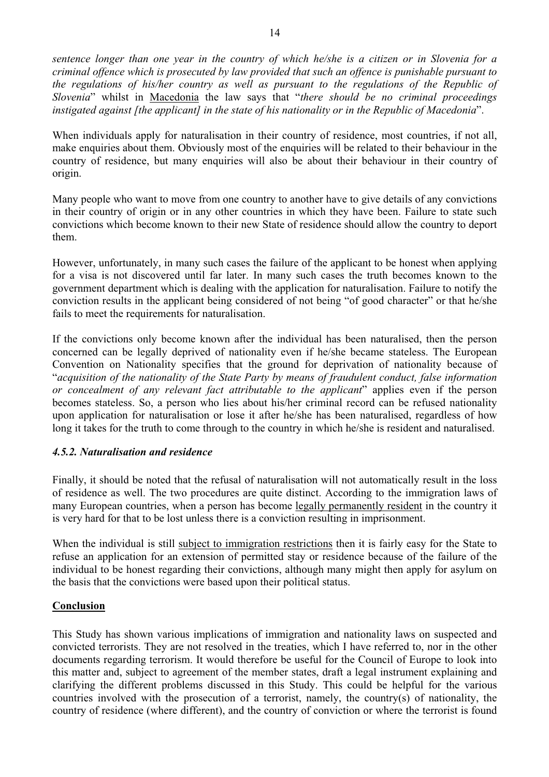*sentence longer than one year in the country of which he/she is a citizen or in Slovenia for a* criminal offence which is prosecuted by law provided that such an offence is punishable pursuant to<br>the regulations of his/her country as well as pursuant to the regulations of the Republic of<br>Slovenia" whilst in Macedonia *instigated against [the applicant] in the state of his nationality or in the Republic of Macedonia*".

When individuals apply for naturalisation in their country of residence, most countries, if not all, make enquiries about them. Obviously most of the enquiries will be related to their behaviour in the country of residence

in their country of origin or in any other countries in which they have been. Failure to state such convictions which become known to their new State of residence should allow the country to deport them.

However, unfortunately, in many such cases the failure of the applicant to be honest when applying for a visa is not discovered until far later. In many such cases the truth becomes known to the government department which is dealing with the application for naturalisation. Failure to notify the conviction results in the applicant being considered of not being "of good character" or that he/she fails to meet the r

Convention on Nationality specifies that the ground for deprivation of nationality because of "acquisition of the nationality of the State Party by means of fraudulent conduct, false information<br>or concealment of any relevant fact attributable to the applicant" applies even if the person<br>becomes stateless. So, a pe upon application for naturalisation or lose it after he/she has been naturalised, regardless of how long it takes for the truth to come through to the country in which he/she is resident and naturalised.

# *4.5.2. Naturalisation and residence*

Finally, it should be noted that the refusal of naturalisation will not automatically result in the loss of residence as well. The two procedures are quite distinct. According to the immigration laws of many European count

When the individual is still subject to immigration restrictions then it is fairly easy for the State to refuse an application for an extension of permitted stay or residence because of the failure of the individual to be the basis that the convictions were based upon their political status.

# **Conclusion**

This Study has shown various implications of immigration and nationality laws on suspected and convicted terrorists. They are not resolved in the treaties, which I have referred to, nor in the other documents regarding terrorism. It would therefore be useful for the Council of Europe to look into this matter and, subject to agreement of the member states, draft a legal instrument explaining and clarifying the different problems discussed in this Study. This could be helpful for the various countries involved with the prosecution of a terrorist, namely, the country(s) of nationality, the country of residence (where different), and the country of conviction or where the terrorist is found